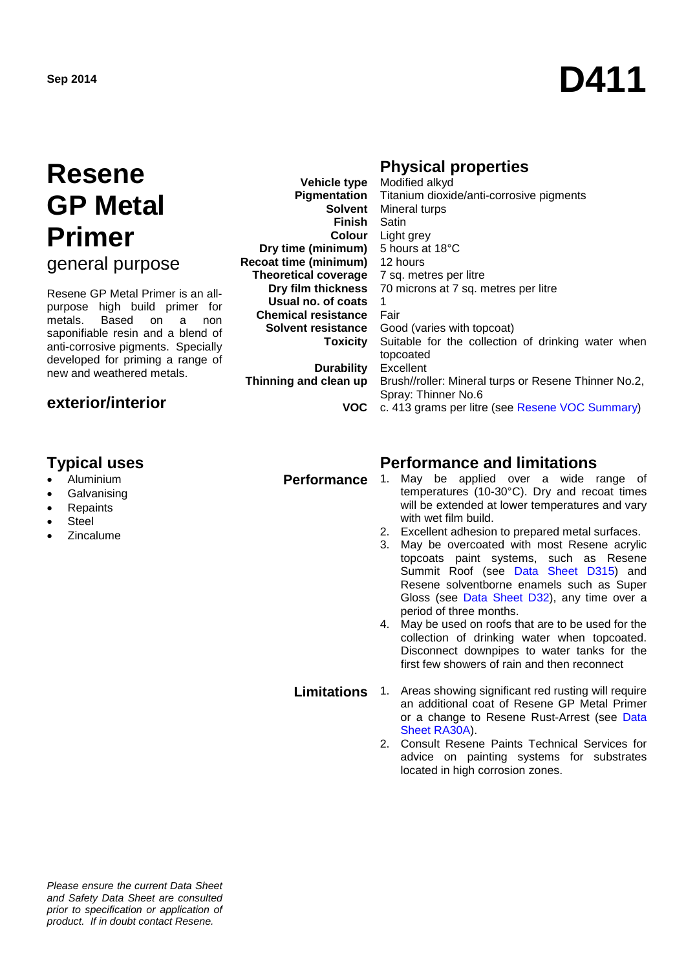# **Sep <sup>2014</sup> D411**

## **Resene GP Metal Primer**

general purpose

Resene GP Metal Primer is an allpurpose high build primer for<br>metals. Based on a non Based on a saponifiable resin and a blend of anti-corrosive pigments. Specially developed for priming a range of new and weathered metals.

#### **exterior/interior**

- Aluminium
- **Galvanising**
- **Repaints**
- **Steel**
- **Zincalume**

**Pigmentation Solvent Finish Dry time (minimum)** 5 hours at 18°C **Recoat time (minimum) Theoretical coverage Dry film thickness Usual no. of coats Chemical resistance Solvent resistance Toxicity**

**Durability Thinning and clean up**

#### **VOC**

#### **Physical properties**

**Vehicle type Colour** Light grey Modified alkyd Titanium dioxide/anti-corrosive pigments Mineral turps Satin 12 hours 7 sq. metres per litre 70 microns at 7 sq. metres per litre 1 Fair Good (varies with topcoat) Suitable for the collection of drinking water when topcoated Excellent Brush//roller: Mineral turps or Resene Thinner No.2, Spray: Thinner No.6 c. 413 grams per litre (see [Resene VOC Summary\)](http://www.resene.co.nz/archspec/datashts/vocsummary.pdf)

## **Typical uses Performance and limitations**

- May be applied over a wide range of temperatures (10-30°C). Dry and recoat times will be extended at lower temperatures and vary with wet film build.
- 2. Excellent adhesion to prepared metal surfaces.
- 3. May be overcoated with most Resene acrylic topcoats paint systems, such as Resene Summit Roof (see [Data Sheet D315](http://www.resene.co.nz/archspec/datashts/d31_Hi-Glo_Acrylic.pdf)) and Resene solventborne enamels such as Super Gloss (see [Data Sheet D3](http://www.resene.co.nz/archspec/datashts/ra71_Mica_Bond.pdf)2), any time over a period of three months.
- 4. May be used on roofs that are to be used for the collection of drinking water when topcoated. Disconnect downpipes to water tanks for the first few showers of rain and then reconnect

#### **Limitations** 1. Areas showing significant red rusting will require an additional coat of Resene GP Metal Primer or a change to Resene Rust-Arrest (see Data [Sheet RA30A\)](http://www.resene.co.nz/archspec/datasheets/ra30a_Rust-Arrest_Primer.pdf).

2. Consult Resene Paints Technical Services for advice on painting systems for substrates located in high corrosion zones.